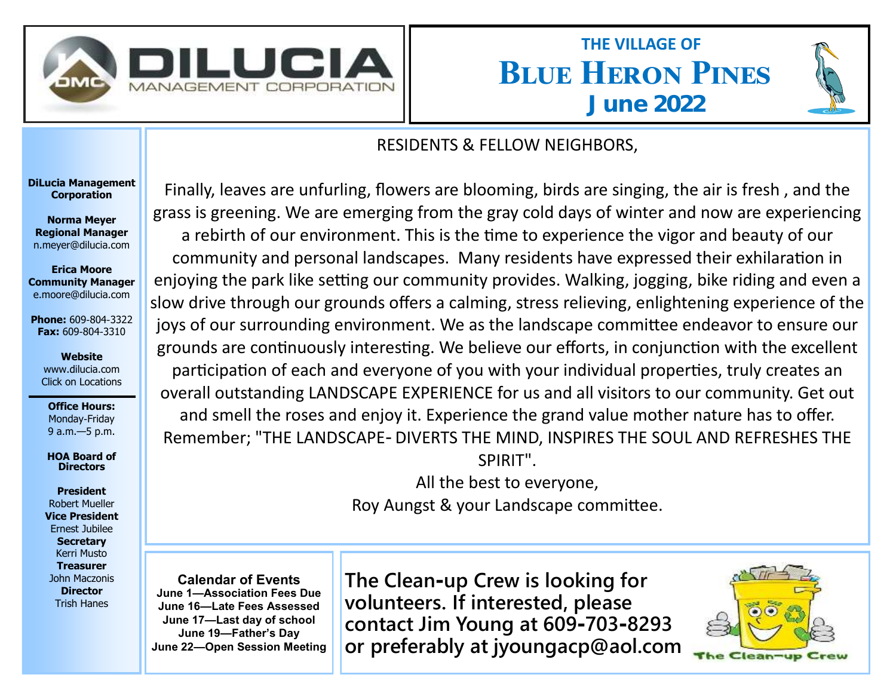

## **Blue Heron Pines THE VILLAGE OF June 2022**



## RESIDENTS & FELLOW NEIGHBORS,

**DiLucia Management Corporation**

**Norma Meyer Regional Manager**  n.meyer@dilucia.com

**Erica Moore Community Manager** e.moore@dilucia.com

**Phone:** 609-804-3322 **Fax:** 609-804-3310

**Website** www.dilucia.com Click on Locations

**Office Hours:** Monday-Friday 9 a.m.—5 p.m.

**HOA Board of Directors**

**President** Robert Mueller **Vice President** Ernest Jubilee **Secretary** Kerri Musto **Treasurer** John Maczonis **Director** Trish Hanes

Finally, leaves are unfurling, flowers are blooming, birds are singing, the air is fresh , and the grass is greening. We are emerging from the gray cold days of winter and now are experiencing a rebirth of our environment. This is the time to experience the vigor and beauty of our community and personal landscapes. Many residents have expressed their exhilaration in enjoying the park like setting our community provides. Walking, jogging, bike riding and even a slow drive through our grounds offers a calming, stress relieving, enlightening experience of the joys of our surrounding environment. We as the landscape committee endeavor to ensure our grounds are continuously interesting. We believe our efforts, in conjunction with the excellent participation of each and everyone of you with your individual properties, truly creates an overall outstanding LANDSCAPE EXPERIENCE for us and all visitors to our community. Get out and smell the roses and enjoy it. Experience the grand value mother nature has to offer. Remember; "THE LANDSCAPE- DIVERTS THE MIND, INSPIRES THE SOUL AND REFRESHES THE SPIRIT".

> All the best to everyone, Roy Aungst & your Landscape committee.

**Calendar of Events June 1—Association Fees Due June 16—Late Fees Assessed June 17—Last day of school June 19—Father's Day June 22—Open Session Meeting** **The Clean-up Crew is looking for volunteers. If interested, please contact Jim Young at 609-703-8293 or preferably at jyoungacp@aol.com**